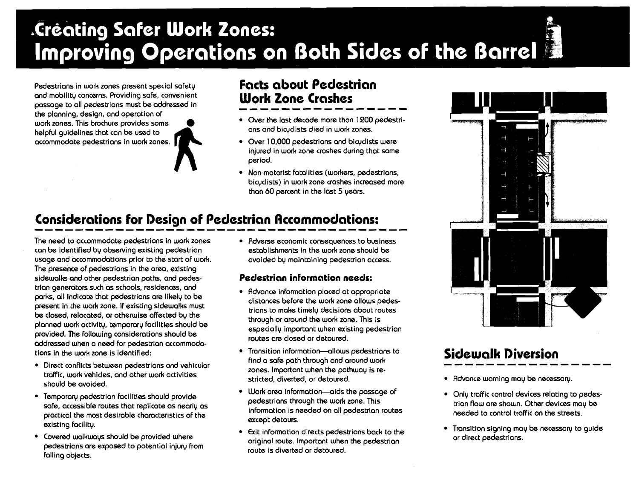# .Creating Safer Work Zones: Improving Operations on Both Sides of the Barrel

Pedestrians in work zones present special safety **facts about Pedestrian**<br>and mobility concerns. Providing safe, convenient **Work Zone Crashes** and mobility concerns. Providing safe, convenient passage to all pedestrians must be addressed in **Work Zone Crashes** 

the planning, design, and operation of helpful quidelines that can be used to

- work zones. This brochure provides some of the last decade more than 1200 pedestri-<br>work zones. This brochure provides some one one one one one one one of the last decade more than 1200 pedestri-
- accommodate pedestrians in work zones. Over 10,000 pedestrians and bicyclists were injured in work zone crashes during that same period.
	- Non-motorist fatalities (workers, pedestrians, bicyclists) in work zone crashes increased more than 60 percent in the last 5 years.

### **Considerations for Design of Pedestrian Rccornrnodations:**

The need to accommodate pedestrians in work zones can be identified by observing existing pedestrian usage and accommodations prior to the start of work. The presence of pedestrians in the area, exlsting sidewalks and other pedestrian paths, and pedestrian generators such as schools, residences, and parks, all indicate that pedestrians are likely to be present in the work zone. If existing sidewalks must be closed, relocated, or otherwise affected by the planned work activity, temporary facilities should be provided. The following considerations should be addressed when a need for pedestrian accommodations in the work zone is identified:

- Direct conflicts between pedestrians and vehicular traffic, work vehicles, and other work activities should be avoided.
- Temporary pedestrian facilities should provide soh, accessible routes that replicate as nearly as practical the most desirable characteristics of the existing facility.
- Covered walkways should be provided where pedestrians are exposed to potential injury from falling objects.

• Adverse economic consequences to business establishments in the work zone should be avoided by maintaining pedestrian access.

#### **Pedestrian information needs:**

- Advance information placed at appropriate distances before the work zone allows pedestrians to make timely decisions about routes through or around the work zone. This is especially important when existing pedestrian routes are closed or detoured.
- Transition information-allows pedestrians to find a safe path through and around work zones. Important when the pathway is restricted, diverted, or detoured.
- Uork area information-aids the passage of pedestrians through the work zone. This information is needed on all pedestrian routes except detours.
- Exit information directs pedestrians back to the original route. lmportant when the pedestrian route is diverted or detoured.



## **Sidewalk Diversion**

- \* Advance warning may be necessary.
- Only traffic control devices relating to pedestrian flow are shown. Other devices may be needed to control traffic on the streets.
- Transition signing may be necessary to guide or direct pedestrians.